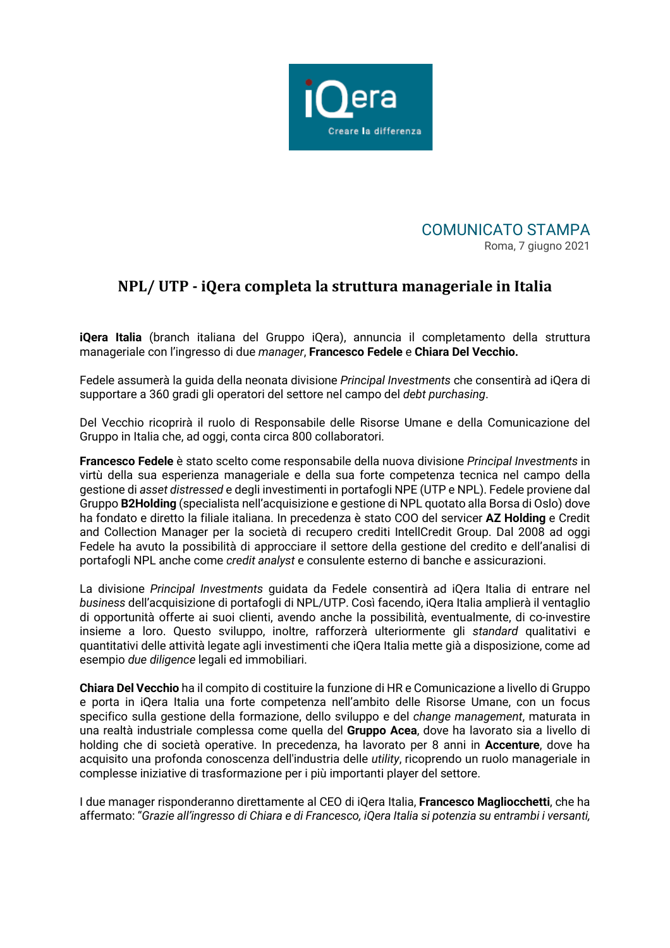

COMUNICATO STAMPA Roma, 7 giugno 2021

## **NPL/ UTP - iQera completa la struttura manageriale in Italia**

**iQera Italia** (branch italiana del Gruppo iQera), annuncia il completamento della struttura manageriale con l'ingresso di due *manager*, **Francesco Fedele** e **Chiara Del Vecchio.**

Fedele assumerà la guida della neonata divisione *Principal Investments* che consentirà ad iQera di supportare a 360 gradi gli operatori del settore nel campo del *debt purchasing*.

Del Vecchio ricoprirà il ruolo di Responsabile delle Risorse Umane e della Comunicazione del Gruppo in Italia che, ad oggi, conta circa 800 collaboratori.

**Francesco Fedele** è stato scelto come responsabile della nuova divisione *Principal Investments* in virtù della sua esperienza manageriale e della sua forte competenza tecnica nel campo della gestione di *asset distressed* e degli investimenti in portafogli NPE (UTP e NPL). Fedele proviene dal Gruppo **B2Holding** (specialista nell'acquisizione e gestione di NPL quotato alla Borsa di Oslo) dove ha fondato e diretto la filiale italiana. In precedenza è stato COO del servicer **AZ Holding** e Credit and Collection Manager per la società di recupero crediti IntellCredit Group. Dal 2008 ad oggi Fedele ha avuto la possibilità di approcciare il settore della gestione del credito e dell'analisi di portafogli NPL anche come *credit analyst* e consulente esterno di banche e assicurazioni.

La divisione *Principal Investments* guidata da Fedele consentirà ad iQera Italia di entrare nel *business* dell'acquisizione di portafogli di NPL/UTP. Così facendo, iQera Italia amplierà il ventaglio di opportunità offerte ai suoi clienti, avendo anche la possibilità, eventualmente, di co-investire insieme a loro. Questo sviluppo, inoltre, rafforzerà ulteriormente gli *standard* qualitativi e quantitativi delle attività legate agli investimenti che iQera Italia mette già a disposizione, come ad esempio *due diligence* legali ed immobiliari.

**Chiara Del Vecchio** ha il compito di costituire la funzione di HR e Comunicazione a livello di Gruppo e porta in iQera Italia una forte competenza nell'ambito delle Risorse Umane, con un focus specifico sulla gestione della formazione, dello sviluppo e del *change management*, maturata in una realtà industriale complessa come quella del **Gruppo Acea**, dove ha lavorato sia a livello di holding che di società operative. In precedenza, ha lavorato per 8 anni in **Accenture**, dove ha acquisito una profonda conoscenza dell'industria delle *utility*, ricoprendo un ruolo manageriale in complesse iniziative di trasformazione per i più importanti player del settore.

I due manager risponderanno direttamente al CEO di iQera Italia, **Francesco Magliocchetti**, che ha affermato: "*Grazie all'ingresso di Chiara e di Francesco, iQera Italia si potenzia su entrambi i versanti,*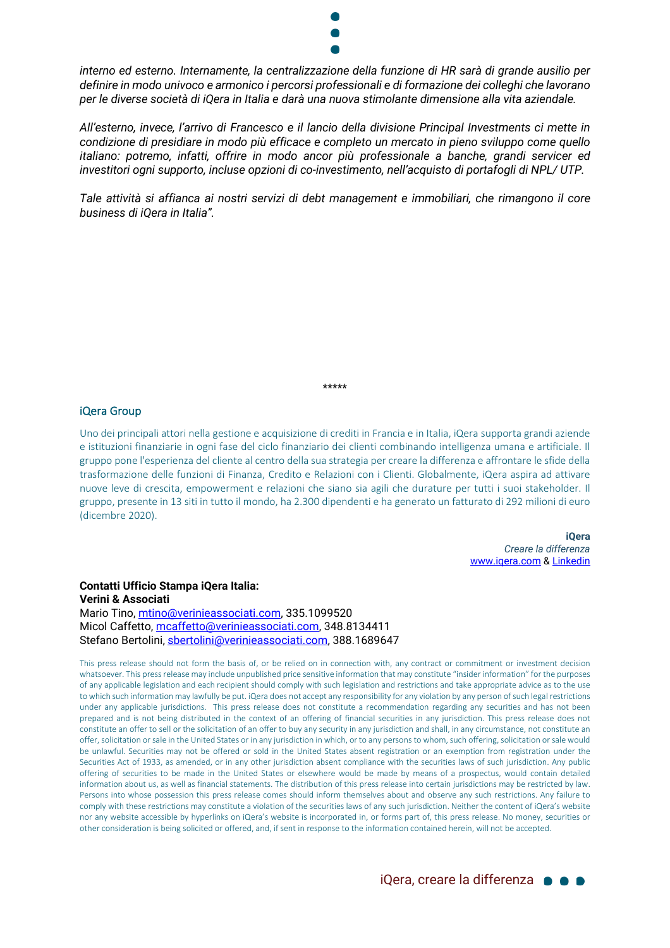

*interno ed esterno. Internamente, la centralizzazione della funzione di HR sarà di grande ausilio per definire in modo univoco e armonico i percorsi professionali e di formazione dei colleghi che lavorano per le diverse società di iQera in Italia e darà una nuova stimolante dimensione alla vita aziendale.*

*All'esterno, invece, l'arrivo di Francesco e il lancio della divisione Principal Investments ci mette in condizione di presidiare in modo più efficace e completo un mercato in pieno sviluppo come quello italiano: potremo, infatti, offrire in modo ancor più professionale a banche, grandi servicer ed investitori ogni supporto, incluse opzioni di co-investimento, nell'acquisto di portafogli di NPL/ UTP.* 

*Tale attività si affianca ai nostri servizi di debt management e immobiliari, che rimangono il core business di iQera in Italia".*

\*\*\*\*\*

## iQera Group

Uno dei principali attori nella gestione e acquisizione di crediti in Francia e in Italia, iQera supporta grandi aziende e istituzioni finanziarie in ogni fase del ciclo finanziario dei clienti combinando intelligenza umana e artificiale. Il gruppo pone l'esperienza del cliente al centro della sua strategia per creare la differenza e affrontare le sfide della trasformazione delle funzioni di Finanza, Credito e Relazioni con i Clienti. Globalmente, iQera aspira ad attivare nuove leve di crescita, empowerment e relazioni che siano sia agili che durature per tutti i suoi stakeholder. Il gruppo, presente in 13 siti in tutto il mondo, ha 2.300 dipendenti e ha generato un fatturato di 292 milioni di euro (dicembre 2020).

> **iQera** *Creare la differenza* [www.iqera.com](http://www.iqera.com/) [& Linkedin](https://www.linkedin.com/company/iqera-group)

## **Contatti Ufficio Stampa iQera Italia: Verini & Associati**  Mario Tino, [mtino@verinieassociati.com,](mailto:mtino@verinieassociati.com) 335.1099520 Micol Caffetto, [mcaffetto@verinieassociati.com,](mailto:mcaffetto@verinieassociati.com) 348.8134411 Stefano Bertolini, [sbertolini@verinieassociati.com,](mailto:sbertolini@verinieassociati.com) 388.1689647

This press release should not form the basis of, or be relied on in connection with, any contract or commitment or investment decision whatsoever. This press release may include unpublished price sensitive information that may constitute "insider information" for the purposes of any applicable legislation and each recipient should comply with such legislation and restrictions and take appropriate advice as to the use to which such information may lawfully be put. iQera does not accept any responsibility for any violation by any person of such legal restrictions under any applicable jurisdictions. This press release does not constitute a recommendation regarding any securities and has not been prepared and is not being distributed in the context of an offering of financial securities in any jurisdiction. This press release does not constitute an offer to sell or the solicitation of an offer to buy any security in any jurisdiction and shall, in any circumstance, not constitute an offer, solicitation or sale in the United States or in any jurisdiction in which, or to any persons to whom, such offering, solicitation or sale would be unlawful. Securities may not be offered or sold in the United States absent registration or an exemption from registration under the Securities Act of 1933, as amended, or in any other jurisdiction absent compliance with the securities laws of such jurisdiction. Any public offering of securities to be made in the United States or elsewhere would be made by means of a prospectus, would contain detailed information about us, as well as financial statements. The distribution of this press release into certain jurisdictions may be restricted by law. Persons into whose possession this press release comes should inform themselves about and observe any such restrictions. Any failure to comply with these restrictions may constitute a violation of the securities laws of any such jurisdiction. Neither the content of iQera's website nor any website accessible by hyperlinks on iQera's website is incorporated in, or forms part of, this press release. No money, securities or other consideration is being solicited or offered, and, if sent in response to the information contained herein, will not be accepted.